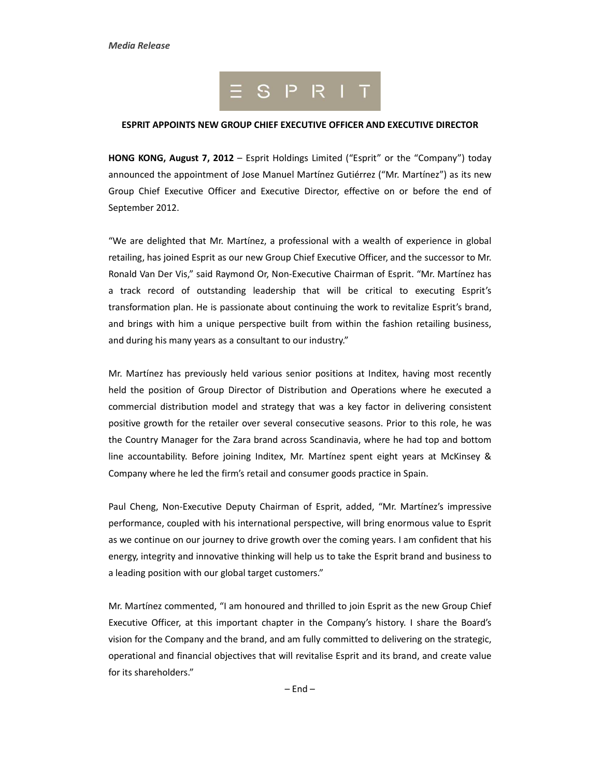

## **ESPRIT APPOINTS NEW GROUP CHIEF EXECUTIVE OFFICER AND EXECUTIVE DIRECTOR**

**HONG KONG, August 7, 2012** – Esprit Holdings Limited ("Esprit" or the "Company") today announced the appointment of Jose Manuel Martínez Gutiérrez ("Mr. Martínez") as its new Group Chief Executive Officer and Executive Director, effective on or before the end of September 2012.

"We are delighted that Mr. Martínez, a professional with a wealth of experience in global retailing, has joined Esprit as our new Group Chief Executive Officer, and the successor to Mr. Ronald Van Der Vis," said Raymond Or, Non-Executive Chairman of Esprit. "Mr. Martínez has a track record of outstanding leadership that will be critical to executing Esprit's transformation plan. He is passionate about continuing the work to revitalize Esprit's brand, and brings with him a unique perspective built from within the fashion retailing business, and during his many years as a consultant to our industry."

Mr. Martínez has previously held various senior positions at Inditex, having most recently held the position of Group Director of Distribution and Operations where he executed a commercial distribution model and strategy that was a key factor in delivering consistent positive growth for the retailer over several consecutive seasons. Prior to this role, he was the Country Manager for the Zara brand across Scandinavia, where he had top and bottom line accountability. Before joining Inditex, Mr. Martínez spent eight years at McKinsey & Company where he led the firm's retail and consumer goods practice in Spain.

Paul Cheng, Non-Executive Deputy Chairman of Esprit, added, "Mr. Martínez's impressive performance, coupled with his international perspective, will bring enormous value to Esprit as we continue on our journey to drive growth over the coming years. I am confident that his energy, integrity and innovative thinking will help us to take the Esprit brand and business to a leading position with our global target customers."

Mr. Martínez commented, "I am honoured and thrilled to join Esprit as the new Group Chief Executive Officer, at this important chapter in the Company's history. I share the Board's vision for the Company and the brand, and am fully committed to delivering on the strategic, operational and financial objectives that will revitalise Esprit and its brand, and create value for its shareholders."